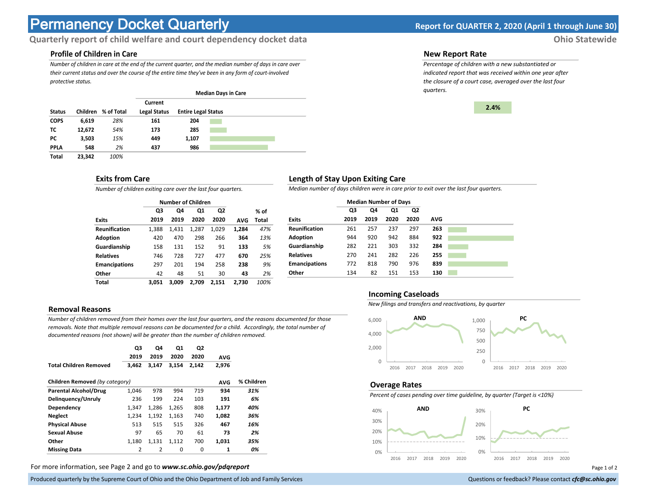# **Permanency Docket Quarterly Report for QUARTER 2, 2020 (April 1 through June 30)**

# **Quarterly report of child welfare and court dependency docket data** *Ohio Statewide*

## **Profile of Children in Care**

*Number of children in care at the end of the current quarter, and the median number of days in care over their current status and over the course of the entire time they've been in any form of court-involved protective status.*

|               |          |            | <b>Median Days in Care</b> |                            |  |  |  |  |  |
|---------------|----------|------------|----------------------------|----------------------------|--|--|--|--|--|
|               |          |            | Current                    |                            |  |  |  |  |  |
| <b>Status</b> | Children | % of Total | <b>Legal Status</b>        | <b>Entire Legal Status</b> |  |  |  |  |  |
| <b>COPS</b>   | 6,619    | 28%        | 161                        | 204                        |  |  |  |  |  |
| тс            | 12,672   | 54%        | 173                        | 285                        |  |  |  |  |  |
| РC            | 3.503    | 15%        | 449                        | 1,107                      |  |  |  |  |  |
| <b>PPLA</b>   | 548      | 2%         | 437                        | 986                        |  |  |  |  |  |
| Total         | 23,342   | 100%       |                            |                            |  |  |  |  |  |

#### **Exits from Care**

*Number of children exiting care over the last four quarters.*

|                      |       | <b>Number of Children</b> |       |                |            |       |
|----------------------|-------|---------------------------|-------|----------------|------------|-------|
|                      | Q3    | Q4                        | Q1    | Q <sub>2</sub> |            | % of  |
| <b>Exits</b>         | 2019  | 2019                      | 2020  | 2020           | <b>AVG</b> | Total |
| <b>Reunification</b> | 1,388 | 1,431                     | 1,287 | 1.029          | 1.284      | 47%   |
| Adoption             | 420   | 470                       | 298   | 266            | 364        | 13%   |
| Guardianship         | 158   | 131                       | 152   | 91             | 133        | 5%    |
| <b>Relatives</b>     | 746   | 728                       | 727   | 477            | 670        | 25%   |
| <b>Emancipations</b> | 297   | 201                       | 194   | 258            | 238        | 9%    |
| Other                | 42    | 48                        | 51    | 30             | 43         | 2%    |
| Total                | 3.051 | 3.009                     | 2.709 | 2.151          | 2.730      | 100%  |

#### **Removal Reasons**

*Number of children removed from their homes over the last four quarters, and the reasons documented for those removals. Note that multiple removal reasons can be documented for a child. Accordingly, the total number of documented reasons (not shown) will be greater than the number of children removed.* 

|                                | Q3<br>2019     | Q4<br>2019     | Q1<br>2020 | Q2<br>2020 | <b>AVG</b> |            |
|--------------------------------|----------------|----------------|------------|------------|------------|------------|
| <b>Total Children Removed</b>  | 3,462          | 3,147          | 3.154      | 2,142      | 2,976      |            |
| Children Removed (by category) |                |                |            |            | <b>AVG</b> | % Children |
| <b>Parental Alcohol/Drug</b>   | 1,046          | 978            | 994        | 719        | 934        | 31%        |
| Delinguency/Unruly             | 236            | 199            | 224        | 103        | 191        | 6%         |
| Dependency                     | 1,347          | 1.286          | 1,265      | 808        | 1,177      | 40%        |
| <b>Neglect</b>                 | 1.234          | 1.192          | 1.163      | 740        | 1.082      | 36%        |
| <b>Physical Abuse</b>          | 513            | 515            | 515        | 326        | 467        | 16%        |
| <b>Sexual Abuse</b>            | 97             | 65             | 70         | 61         | 73         | 2%         |
| Other                          | 1,180          | 1,131          | 1.112      | 700        | 1,031      | 35%        |
| <b>Missing Data</b>            | $\overline{2}$ | $\overline{2}$ | 0          | $\Omega$   | 1          | 0%         |

For more information, see Page 2 and go to *www.sc.ohio.gov/pdqreport* examples and the example of 2 and 2 and 3 and 2 and 2 and 2 and 2 and 2 and 2 and 2 and 2 and 2 and 2 and 2 and 2 and 2 and 2 and 2 and 2 and 2 and 2 a

Produced quarterly by the Supreme Court of Ohio and the Ohio Department of Job and Family Services Questions or feedback? Please contact *cfc@sc.ohio.gov* **Questions or feedback? Please contact** *cfc@sc.ohio.gov* 

#### **New Report Rate**

*Percentage of children with a new substantiated or indicated report that was received within one year after the closure of a court case, averaged over the last four quarters.*



## **Length of Stay Upon Exiting Care**

*Median number of days children were in care prior to exit over the last four quarters.*

|                      | <b>Median Number of Days</b> |      |      |      |     |  |
|----------------------|------------------------------|------|------|------|-----|--|
|                      | Q3                           | Q4   | Q1   | Q2   |     |  |
| <b>Exits</b>         | 2019                         | 2019 | 2020 | 2020 | AVG |  |
| <b>Reunification</b> | 261                          | 257  | 237  | 297  | 263 |  |
| Adoption             | 944                          | 920  | 942  | 884  | 922 |  |
| Guardianship         | 282                          | 221  | 303  | 332  | 284 |  |
| <b>Relatives</b>     | 270                          | 241  | 282  | 226  | 255 |  |
| <b>Emancipations</b> | 772                          | 818  | 790  | 976  | 839 |  |
| Other                | 134                          | 82   | 151  | 153  | 130 |  |

#### **Incoming Caseloads**

*New filings and transfers and reactivations, by quarter*



#### **Overage Rates**

*Percent of cases pending over time guideline, by quarter (Target is <10%)*